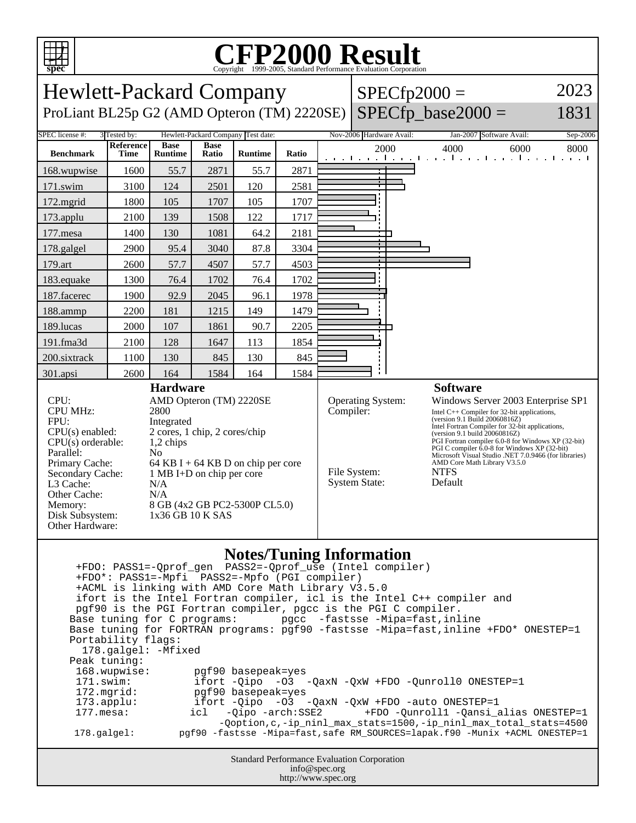

## C<sub>opyright</sub> ©1999-2005, Standard Performance Evaluation Corporation

| spec<br>Copyright @1999-2005, Standard Performance Evaluation Corporation                                                                                                                                                                                                                                                                                                                                                                                                                                                                                                                                                                                                                                                                                                                                                                                                                                                                                                                                  |                   |                               |                      |                                    |                                                                                                                                                                                                                                                                                                                                                                                                                                                                                                      |  |                          |      |                                                                   |          |
|------------------------------------------------------------------------------------------------------------------------------------------------------------------------------------------------------------------------------------------------------------------------------------------------------------------------------------------------------------------------------------------------------------------------------------------------------------------------------------------------------------------------------------------------------------------------------------------------------------------------------------------------------------------------------------------------------------------------------------------------------------------------------------------------------------------------------------------------------------------------------------------------------------------------------------------------------------------------------------------------------------|-------------------|-------------------------------|----------------------|------------------------------------|------------------------------------------------------------------------------------------------------------------------------------------------------------------------------------------------------------------------------------------------------------------------------------------------------------------------------------------------------------------------------------------------------------------------------------------------------------------------------------------------------|--|--------------------------|------|-------------------------------------------------------------------|----------|
| 2023<br><b>Hewlett-Packard Company</b><br>$SPECfp2000 =$                                                                                                                                                                                                                                                                                                                                                                                                                                                                                                                                                                                                                                                                                                                                                                                                                                                                                                                                                   |                   |                               |                      |                                    |                                                                                                                                                                                                                                                                                                                                                                                                                                                                                                      |  |                          |      |                                                                   |          |
| ProLiant BL25p G2 (AMD Opteron (TM) 2220SE)                                                                                                                                                                                                                                                                                                                                                                                                                                                                                                                                                                                                                                                                                                                                                                                                                                                                                                                                                                |                   |                               |                      |                                    |                                                                                                                                                                                                                                                                                                                                                                                                                                                                                                      |  | $SPECfp\_base2000 =$     |      |                                                                   | 1831     |
| SPEC license #:                                                                                                                                                                                                                                                                                                                                                                                                                                                                                                                                                                                                                                                                                                                                                                                                                                                                                                                                                                                            | 3 Tested by:      |                               |                      | Hewlett-Packard Company Test date: |                                                                                                                                                                                                                                                                                                                                                                                                                                                                                                      |  | Nov-2006 Hardware Avail: |      | Jan-2007 Software Avail:                                          | Sep-2006 |
| <b>Benchmark</b>                                                                                                                                                                                                                                                                                                                                                                                                                                                                                                                                                                                                                                                                                                                                                                                                                                                                                                                                                                                           | Reference<br>Time | <b>Base</b><br><b>Runtime</b> | <b>Base</b><br>Ratio | <b>Runtime</b>                     | Ratio                                                                                                                                                                                                                                                                                                                                                                                                                                                                                                |  | 2000                     | 4000 | 6000<br>and the collection of the collection of the collection of | 8000     |
| 168.wupwise                                                                                                                                                                                                                                                                                                                                                                                                                                                                                                                                                                                                                                                                                                                                                                                                                                                                                                                                                                                                | 1600              | 55.7                          | 2871                 | 55.7                               | 2871                                                                                                                                                                                                                                                                                                                                                                                                                                                                                                 |  |                          |      |                                                                   |          |
| 171.swim                                                                                                                                                                                                                                                                                                                                                                                                                                                                                                                                                                                                                                                                                                                                                                                                                                                                                                                                                                                                   | 3100              | 124                           | 2501                 | 120                                | 2581                                                                                                                                                                                                                                                                                                                                                                                                                                                                                                 |  |                          |      |                                                                   |          |
| 172.mgrid                                                                                                                                                                                                                                                                                                                                                                                                                                                                                                                                                                                                                                                                                                                                                                                                                                                                                                                                                                                                  | 1800              | 105                           | 1707                 | 105                                | 1707                                                                                                                                                                                                                                                                                                                                                                                                                                                                                                 |  |                          |      |                                                                   |          |
| 173.applu                                                                                                                                                                                                                                                                                                                                                                                                                                                                                                                                                                                                                                                                                                                                                                                                                                                                                                                                                                                                  | 2100              | 139                           | 1508                 | 122                                | 1717                                                                                                                                                                                                                                                                                                                                                                                                                                                                                                 |  |                          |      |                                                                   |          |
| 177.mesa                                                                                                                                                                                                                                                                                                                                                                                                                                                                                                                                                                                                                                                                                                                                                                                                                                                                                                                                                                                                   | 1400              | 130                           | 1081                 | 64.2                               | 2181                                                                                                                                                                                                                                                                                                                                                                                                                                                                                                 |  |                          |      |                                                                   |          |
| 178.galgel                                                                                                                                                                                                                                                                                                                                                                                                                                                                                                                                                                                                                                                                                                                                                                                                                                                                                                                                                                                                 | 2900              | 95.4                          | 3040                 | 87.8                               | 3304                                                                                                                                                                                                                                                                                                                                                                                                                                                                                                 |  |                          |      |                                                                   |          |
| 179.art                                                                                                                                                                                                                                                                                                                                                                                                                                                                                                                                                                                                                                                                                                                                                                                                                                                                                                                                                                                                    | 2600              | 57.7                          | 4507                 | 57.7                               | 4503                                                                                                                                                                                                                                                                                                                                                                                                                                                                                                 |  |                          |      |                                                                   |          |
| 183.equake                                                                                                                                                                                                                                                                                                                                                                                                                                                                                                                                                                                                                                                                                                                                                                                                                                                                                                                                                                                                 | 1300              | 76.4                          | 1702                 | 76.4                               | 1702                                                                                                                                                                                                                                                                                                                                                                                                                                                                                                 |  |                          |      |                                                                   |          |
| 187.facerec                                                                                                                                                                                                                                                                                                                                                                                                                                                                                                                                                                                                                                                                                                                                                                                                                                                                                                                                                                                                | 1900              | 92.9                          | 2045                 | 96.1                               | 1978                                                                                                                                                                                                                                                                                                                                                                                                                                                                                                 |  |                          |      |                                                                   |          |
| 188.ammp                                                                                                                                                                                                                                                                                                                                                                                                                                                                                                                                                                                                                                                                                                                                                                                                                                                                                                                                                                                                   | 2200              | 181                           | 1215                 | 149                                | 1479                                                                                                                                                                                                                                                                                                                                                                                                                                                                                                 |  |                          |      |                                                                   |          |
| 189.lucas                                                                                                                                                                                                                                                                                                                                                                                                                                                                                                                                                                                                                                                                                                                                                                                                                                                                                                                                                                                                  | 2000              | 107                           | 1861                 | 90.7                               | 2205                                                                                                                                                                                                                                                                                                                                                                                                                                                                                                 |  |                          |      |                                                                   |          |
| 191.fma3d                                                                                                                                                                                                                                                                                                                                                                                                                                                                                                                                                                                                                                                                                                                                                                                                                                                                                                                                                                                                  | 2100              | 128                           | 1647                 | 113                                | 1854                                                                                                                                                                                                                                                                                                                                                                                                                                                                                                 |  |                          |      |                                                                   |          |
| 200.sixtrack                                                                                                                                                                                                                                                                                                                                                                                                                                                                                                                                                                                                                                                                                                                                                                                                                                                                                                                                                                                               | 1100              | 130                           | 845                  | 130                                | 845                                                                                                                                                                                                                                                                                                                                                                                                                                                                                                  |  |                          |      |                                                                   |          |
| 301.apsi                                                                                                                                                                                                                                                                                                                                                                                                                                                                                                                                                                                                                                                                                                                                                                                                                                                                                                                                                                                                   | 2600              | 164                           | 1584                 | 164                                | 1584                                                                                                                                                                                                                                                                                                                                                                                                                                                                                                 |  |                          |      |                                                                   |          |
| AMD Opteron (TM) 2220SE<br>CPU:<br>CPU MHz:<br>2800<br>FPU:<br>Integrated<br>2 cores, 1 chip, 2 cores/chip<br>$CPU(s)$ enabled:<br>$CPU(s)$ orderable:<br>1,2 chips<br>Parallel:<br>N <sub>0</sub><br>Primary Cache:<br>64 KB I + 64 KB D on chip per core<br>Secondary Cache:<br>1 MB I+D on chip per core<br>L3 Cache:<br>N/A<br>Other Cache:<br>N/A<br>8 GB (4x2 GB PC2-5300P CL5.0)<br>Memory:<br>Disk Subsystem:<br>1x36 GB 10 K SAS<br>Other Hardware:                                                                                                                                                                                                                                                                                                                                                                                                                                                                                                                                               |                   |                               |                      |                                    | Operating System:<br>Windows Server 2003 Enterprise SP1<br>Compiler:<br>Intel $C++$ Compiler for 32-bit applications,<br>(version 9.1 Build 20060816Z)<br>Intel Fortran Compiler for 32-bit applications,<br>(version 9.1 build 20060816Z)<br>PGI Fortran compiler 6.0-8 for Windows XP (32-bit)<br>PGI C compiler 6.0-8 for Windows XP (32-bit)<br>Microsoft Visual Studio .NET 7.0.9466 (for libraries)<br>AMD Core Math Library V3.5.0<br>File System:<br><b>NTFS</b><br>System State:<br>Default |  |                          |      |                                                                   |          |
| <b>Notes/Tuning Information</b><br>+FDO*: PASS1=-Mpfi PASS2=-Mpfo (PGI compiler)<br>+ACML is linking with AMD Core Math Library V3.5.0<br>ifort is the Intel Fortran compiler, icl is the Intel C++ compiler and<br>pgf90 is the PGI Fortran compiler, pgcc is the PGI C compiler.<br>Base tuning for C programs:<br>pgcc -fastsse -Mipa=fast, inline<br>Base tuning for FORTRAN programs: pgf90 -fastsse -Mipa=fast, inline +FDO* ONESTEP=1<br>Portability flags:<br>178.galgel: - Mfixed<br>Peak tuning:<br>168.wupwise:<br>pgf90 basepeak=yes<br>171.swim:<br>ifort -Qipo<br>$-03$ $-QaxN$ $-QxW$ $+FDO$ $-Qunroll0$ $ONESTEP=1$<br>172.mgrid:<br>pgf90 basepeak=yes<br>ifort -Qipo -03 -QaxN -QxW +FDO -auto ONESTEP=1<br>$173.\text{applu}:$<br>$177.$ mesa:<br>-Qipo -arch:SSE2<br>+FDO -Qunroll1 -Qansi_alias ONESTEP=1<br>icl<br>-Qoption, c, -ip_ninl_max_stats=1500, -ip_ninl_max_total_stats=4500<br>pgf90 -fastsse -Mipa=fast, safe RM_SOURCES=lapak.f90 -Munix +ACML ONESTEP=1<br>178.galgel: |                   |                               |                      |                                    |                                                                                                                                                                                                                                                                                                                                                                                                                                                                                                      |  |                          |      |                                                                   |          |
| Standard Performance Evaluation Corporation                                                                                                                                                                                                                                                                                                                                                                                                                                                                                                                                                                                                                                                                                                                                                                                                                                                                                                                                                                |                   |                               |                      |                                    |                                                                                                                                                                                                                                                                                                                                                                                                                                                                                                      |  |                          |      |                                                                   |          |

info@spec.org http://www.spec.org